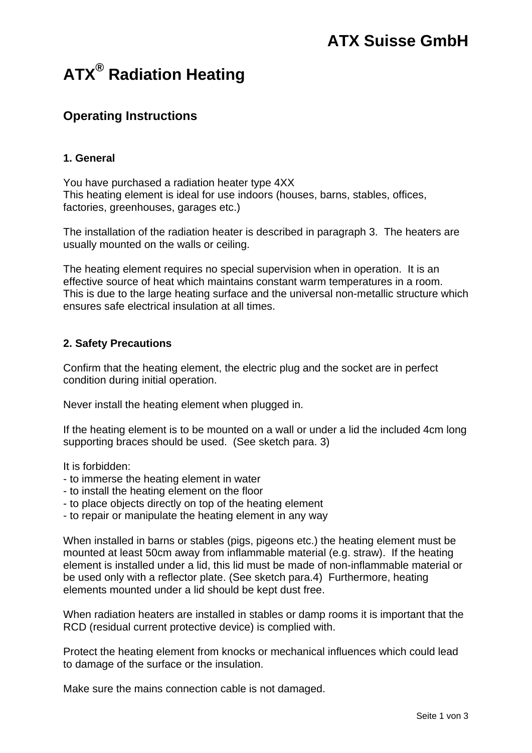# **ATX® Radiation Heating**

# **Operating Instructions**

### **1. General**

You have purchased a radiation heater type 4XX This heating element is ideal for use indoors (houses, barns, stables, offices, factories, greenhouses, garages etc.)

The installation of the radiation heater is described in paragraph 3. The heaters are usually mounted on the walls or ceiling.

The heating element requires no special supervision when in operation. It is an effective source of heat which maintains constant warm temperatures in a room. This is due to the large heating surface and the universal non-metallic structure which ensures safe electrical insulation at all times.

### **2. Safety Precautions**

Confirm that the heating element, the electric plug and the socket are in perfect condition during initial operation.

Never install the heating element when plugged in.

If the heating element is to be mounted on a wall or under a lid the included 4cm long supporting braces should be used. (See sketch para. 3)

It is forbidden:

- to immerse the heating element in water
- to install the heating element on the floor
- to place objects directly on top of the heating element
- to repair or manipulate the heating element in any way

When installed in barns or stables (pigs, pigeons etc.) the heating element must be mounted at least 50cm away from inflammable material (e.g. straw). If the heating element is installed under a lid, this lid must be made of non-inflammable material or be used only with a reflector plate. (See sketch para.4) Furthermore, heating elements mounted under a lid should be kept dust free.

When radiation heaters are installed in stables or damp rooms it is important that the RCD (residual current protective device) is complied with.

Protect the heating element from knocks or mechanical influences which could lead to damage of the surface or the insulation.

Make sure the mains connection cable is not damaged.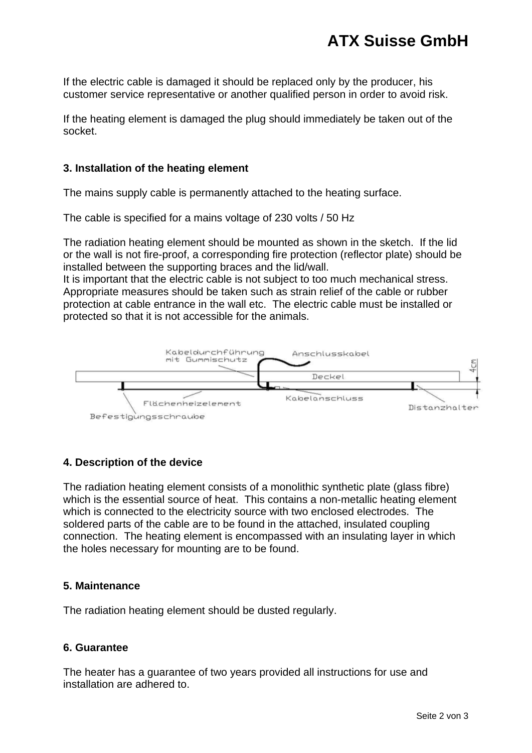If the electric cable is damaged it should be replaced only by the producer, his customer service representative or another qualified person in order to avoid risk.

If the heating element is damaged the plug should immediately be taken out of the socket.

#### **3. Installation of the heating element**

The mains supply cable is permanently attached to the heating surface.

The cable is specified for a mains voltage of 230 volts / 50 Hz

The radiation heating element should be mounted as shown in the sketch. If the lid or the wall is not fire-proof, a corresponding fire protection (reflector plate) should be installed between the supporting braces and the lid/wall.

It is important that the electric cable is not subject to too much mechanical stress. Appropriate measures should be taken such as strain relief of the cable or rubber protection at cable entrance in the wall etc. The electric cable must be installed or protected so that it is not accessible for the animals.



#### **4. Description of the device**

The radiation heating element consists of a monolithic synthetic plate (glass fibre) which is the essential source of heat. This contains a non-metallic heating element which is connected to the electricity source with two enclosed electrodes. The soldered parts of the cable are to be found in the attached, insulated coupling connection. The heating element is encompassed with an insulating layer in which the holes necessary for mounting are to be found.

#### **5. Maintenance**

The radiation heating element should be dusted regularly.

#### **6. Guarantee**

The heater has a guarantee of two years provided all instructions for use and installation are adhered to.